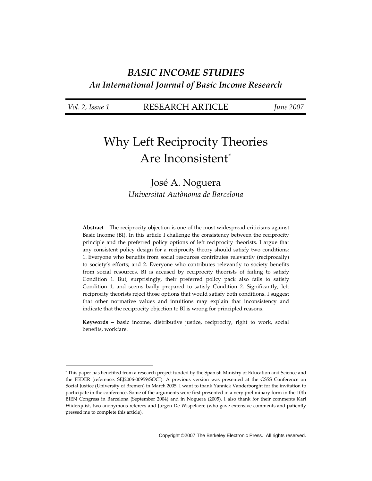# **BASIC INCOME STUDIES** An International Journal of Basic Income Research

|  | Vol. 2, Issue 1 |  |
|--|-----------------|--|
|  |                 |  |

**RESEARCH ARTICLE** 

*June* 2007

# **Why Left Reciprocity Theories** Are Inconsistent\*

# José A. Noguera Universitat Autònoma de Barcelona

**Abstract** – The reciprocity objection is one of the most widespread criticisms against Basic Income (BI). In this article I challenge the consistency between the reciprocity principle and the preferred policy options of left reciprocity theorists. I argue that any consistent policy design for a reciprocity theory should satisfy two conditions: 1. Everyone who benefits from social resources contributes relevantly (reciprocally) to society's efforts; and 2. Everyone who contributes relevantly to society benefits from social resources. BI is accused by reciprocity theorists of failing to satisfy Condition 1. But, surprisingly, their preferred policy pack also fails to satisfy Condition 1, and seems badly prepared to satisfy Condition 2. Significantly, left reciprocity theorists reject those options that would satisfy both conditions. I suggest that other normative values and intuitions may explain that inconsistency and indicate that the reciprocity objection to BI is wrong for principled reasons.

Keywords - basic income, distributive justice, reciprocity, right to work, social benefits, workfare.

<sup>\*</sup> This paper has benefited from a research project funded by the Spanish Ministry of Education and Science and the FEDER (reference: SEJ2006-00959/SOCI). A previous version was presented at the GSSS Conference on Social Justice (University of Bremen) in March 2005. I want to thank Yannick Vanderborght for the invitation to participate in the conference. Some of the arguments were first presented in a very preliminary form in the 10th BIEN Congress in Barcelona (September 2004) and in Noguera (2005). I also thank for their comments Karl Widerquist, two anonymous referees and Jurgen De Wispelaere (who gave extensive comments and patiently pressed me to complete this article).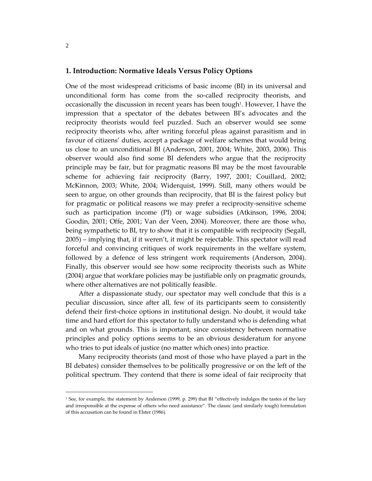# 1. Introduction: Normative Ideals Versus Policy Options

One of the most widespread criticisms of basic income (BI) in its universal and unconditional form has come from the so-called reciprocity theorists, and occasionally the discussion in recent years has been tough<sup>1</sup>. However, I have the impression that a spectator of the debates between BI's advocates and the reciprocity theorists would feel puzzled. Such an observer would see some reciprocity theorists who, after writing forceful pleas against parasitism and in favour of citizens' duties, accept a package of welfare schemes that would bring us close to an unconditional BI (Anderson, 2001, 2004; White, 2003, 2006). This observer would also find some BI defenders who argue that the reciprocity principle may be fair, but for pragmatic reasons BI may be the most favourable scheme for achieving fair reciprocity (Barry, 1997, 2001; Couillard, 2002; McKinnon, 2003; White, 2004; Widerquist, 1999). Still, many others would be seen to argue, on other grounds than reciprocity, that BI is the fairest policy but for pragmatic or political reasons we may prefer a reciprocity-sensitive scheme such as participation income (PI) or wage subsidies (Atkinson, 1996, 2004; Goodin, 2001; Offe, 2001; Van der Veen, 2004). Moreover, there are those who, being sympathetic to BI, try to show that it is compatible with reciprocity (Segall, 2005) – implying that, if it weren't, it might be rejectable. This spectator will read forceful and convincing critiques of work requirements in the welfare system, followed by a defence of less stringent work requirements (Anderson, 2004). Finally, this observer would see how some reciprocity theorists such as White (2004) argue that workfare policies may be justifiable only on pragmatic grounds, where other alternatives are not politically feasible.

After a dispassionate study, our spectator may well conclude that this is a peculiar discussion, since after all, few of its participants seem to consistently defend their first-choice options in institutional design. No doubt, it would take time and hard effort for this spectator to fully understand who is defending what and on what grounds. This is important, since consistency between normative principles and policy options seems to be an obvious desideratum for anyone who tries to put ideals of justice (no matter which ones) into practice.

Many reciprocity theorists (and most of those who have played a part in the BI debates) consider themselves to be politically progressive or on the left of the political spectrum. They contend that there is some ideal of fair reciprocity that

<sup>&</sup>lt;sup>1</sup> See, for example, the statement by Anderson (1999, p. 299) that BI "effectively indulges the tastes of the lazy and irresponsible at the expense of others who need assistance". The classic (and similarly tough) formulation of this accusation can be found in Elster (1986).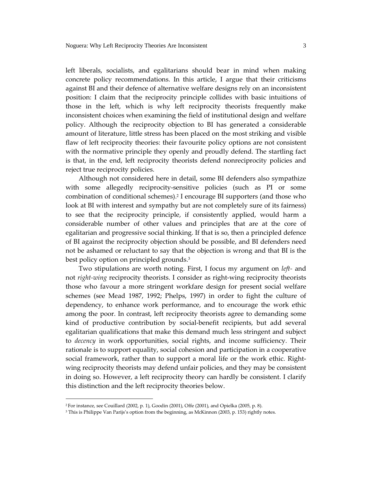left liberals, socialists, and egalitarians should bear in mind when making concrete policy recommendations. In this article, I argue that their criticisms against BI and their defence of alternative welfare designs rely on an inconsistent position: I claim that the reciprocity principle collides with basic intuitions of those in the left, which is why left reciprocity theorists frequently make inconsistent choices when examining the field of institutional design and welfare policy. Although the reciprocity objection to BI has generated a considerable amount of literature, little stress has been placed on the most striking and visible flaw of left reciprocity theories: their favourite policy options are not consistent with the normative principle they openly and proudly defend. The startling fact is that, in the end, left reciprocity theorists defend nonreciprocity policies and reject true reciprocity policies.

Although not considered here in detail, some BI defenders also sympathize with some allegedly reciprocity-sensitive policies (such as PI or some combination of conditional schemes).<sup>2</sup> I encourage BI supporters (and those who look at BI with interest and sympathy but are not completely sure of its fairness) to see that the reciprocity principle, if consistently applied, would harm a considerable number of other values and principles that are at the core of egalitarian and progressive social thinking. If that is so, then a principled defence of BI against the reciprocity objection should be possible, and BI defenders need not be ashamed or reluctant to say that the objection is wrong and that BI is the best policy option on principled grounds.<sup>3</sup>

Two stipulations are worth noting. First, I focus my argument on *left*- and not right-wing reciprocity theorists. I consider as right-wing reciprocity theorists those who favour a more stringent workfare design for present social welfare schemes (see Mead 1987, 1992; Phelps, 1997) in order to fight the culture of dependency, to enhance work performance, and to encourage the work ethic among the poor. In contrast, left reciprocity theorists agree to demanding some kind of productive contribution by social-benefit recipients, but add several egalitarian qualifications that make this demand much less stringent and subject to decency in work opportunities, social rights, and income sufficiency. Their rationale is to support equality, social cohesion and participation in a cooperative social framework, rather than to support a moral life or the work ethic. Rightwing reciprocity theorists may defend unfair policies, and they may be consistent in doing so. However, a left reciprocity theory can hardly be consistent. I clarify this distinction and the left reciprocity theories below.

<sup>&</sup>lt;sup>2</sup> For instance, see Couillard (2002, p. 1), Goodin (2001), Offe (2001), and Opielka (2005, p. 8).

<sup>&</sup>lt;sup>3</sup> This is Philippe Van Parijs's option from the beginning, as McKinnon (2003, p. 153) rightly notes.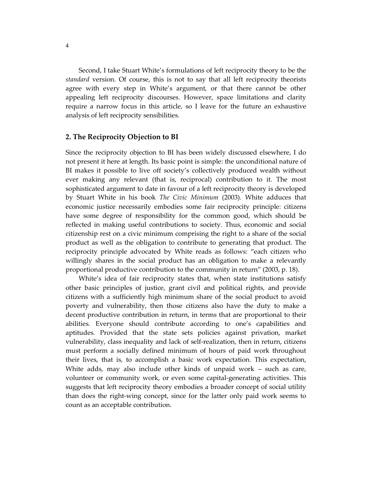Second, I take Stuart White's formulations of left reciprocity theory to be the standard version. Of course, this is not to say that all left reciprocity theorists agree with every step in White's argument, or that there cannot be other appealing left reciprocity discourses. However, space limitations and clarity require a narrow focus in this article, so I leave for the future an exhaustive analysis of left reciprocity sensibilities.

# 2. The Reciprocity Objection to BI

Since the reciprocity objection to BI has been widely discussed elsewhere, I do not present it here at length. Its basic point is simple: the unconditional nature of BI makes it possible to live off society's collectively produced wealth without ever making any relevant (that is, reciprocal) contribution to it. The most sophisticated argument to date in favour of a left reciprocity theory is developed by Stuart White in his book The Civic Minimum (2003). White adduces that economic justice necessarily embodies some fair reciprocity principle: citizens have some degree of responsibility for the common good, which should be reflected in making useful contributions to society. Thus, economic and social citizenship rest on a civic minimum comprising the right to a share of the social product as well as the obligation to contribute to generating that product. The reciprocity principle advocated by White reads as follows: "each citizen who willingly shares in the social product has an obligation to make a relevantly proportional productive contribution to the community in return" (2003, p. 18).

White's idea of fair reciprocity states that, when state institutions satisfy other basic principles of justice, grant civil and political rights, and provide citizens with a sufficiently high minimum share of the social product to avoid poverty and vulnerability, then those citizens also have the duty to make a decent productive contribution in return, in terms that are proportional to their abilities. Everyone should contribute according to one's capabilities and aptitudes. Provided that the state sets policies against privation, market vulnerability, class inequality and lack of self-realization, then in return, citizens must perform a socially defined minimum of hours of paid work throughout their lives, that is, to accomplish a basic work expectation. This expectation, White adds, may also include other kinds of unpaid work – such as care, volunteer or community work, or even some capital-generating activities. This suggests that left reciprocity theory embodies a broader concept of social utility than does the right-wing concept, since for the latter only paid work seems to count as an acceptable contribution.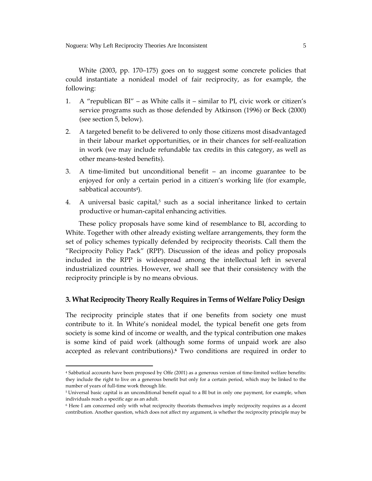White  $(2003, pp. 170-175)$  goes on to suggest some concrete policies that could instantiate a nonideal model of fair reciprocity, as for example, the following:

- A "republican BI" as White calls it similar to PI, civic work or citizen's 1. service programs such as those defended by Atkinson (1996) or Beck (2000) (see section 5, below).
- 2. A targeted benefit to be delivered to only those citizens most disadvantaged in their labour market opportunities, or in their chances for self-realization in work (we may include refundable tax credits in this category, as well as other means-tested benefits).
- 3. A time-limited but unconditional benefit an income guarantee to be enjoyed for only a certain period in a citizen's working life (for example, sabbatical accounts<sup>4</sup>).
- 4. A universal basic capital,<sup>5</sup> such as a social inheritance linked to certain productive or human-capital enhancing activities.

These policy proposals have some kind of resemblance to BI, according to White. Together with other already existing welfare arrangements, they form the set of policy schemes typically defended by reciprocity theorists. Call them the "Reciprocity Policy Pack" (RPP). Discussion of the ideas and policy proposals included in the RPP is widespread among the intellectual left in several industrialized countries. However, we shall see that their consistency with the reciprocity principle is by no means obvious.

## 3. What Reciprocity Theory Really Requires in Terms of Welfare Policy Design

The reciprocity principle states that if one benefits from society one must contribute to it. In White's nonideal model, the typical benefit one gets from society is some kind of income or wealth, and the typical contribution one makes is some kind of paid work (although some forms of unpaid work are also accepted as relevant contributions).<sup>6</sup> Two conditions are required in order to

<sup>&</sup>lt;sup>4</sup> Sabbatical accounts have been proposed by Offe (2001) as a generous version of time-limited welfare benefits: they include the right to live on a generous benefit but only for a certain period, which may be linked to the number of years of full-time work through life.

<sup>&</sup>lt;sup>5</sup> Universal basic capital is an unconditional benefit equal to a BI but in only one payment, for example, when individuals reach a specific age as an adult.

<sup>&</sup>lt;sup>6</sup> Here I am concerned only with what reciprocity theorists themselves imply reciprocity requires as a decent contribution. Another question, which does not affect my argument, is whether the reciprocity principle may be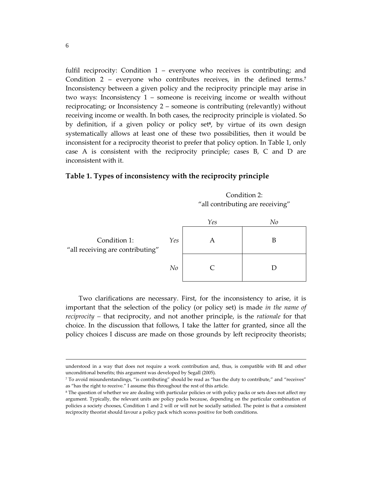fulfil reciprocity: Condition 1 – everyone who receives is contributing; and Condition 2 – everyone who contributes receives, in the defined terms.<sup>7</sup> Inconsistency between a given policy and the reciprocity principle may arise in two ways: Inconsistency  $1$  – someone is receiving income or wealth without reciprocating; or Inconsistency  $2$  – someone is contributing (relevantly) without receiving income or wealth. In both cases, the reciprocity principle is violated. So by definition, if a given policy or policy set<sup>8</sup>, by virtue of its own design systematically allows at least one of these two possibilities, then it would be inconsistent for a reciprocity theorist to prefer that policy option. In Table 1, only case A is consistent with the reciprocity principle; cases B, C and D are inconsistent with it.

### Table 1. Types of inconsistency with the reciprocity principle

Condition 2: "all contributing are receiving"

|                                                  |     | Yes | No |
|--------------------------------------------------|-----|-----|----|
| Condition 1:<br>"all receiving are contributing" | Yes |     |    |
|                                                  | No  |     |    |

Two clarifications are necessary. First, for the inconsistency to arise, it is important that the selection of the policy (or policy set) is made in the name of *reciprocity* – that reciprocity, and not another principle, is the *rationale* for that choice. In the discussion that follows, I take the latter for granted, since all the policy choices I discuss are made on those grounds by left reciprocity theorists;

understood in a way that does not require a work contribution and, thus, is compatible with BI and other unconditional benefits; this argument was developed by Segall (2005).

<sup>7</sup> To avoid misunderstandings, "is contributing" should be read as "has the duty to contribute," and "receives" as "has the right to receive." I assume this throughout the rest of this article.

<sup>&</sup>lt;sup>8</sup> The question of whether we are dealing with particular policies or with policy packs or sets does not affect my argument. Typically, the relevant units are policy packs because, depending on the particular combination of policies a society chooses, Condition 1 and 2 will or will not be socially satisfied. The point is that a consistent reciprocity theorist should favour a policy pack which scores positive for both conditions.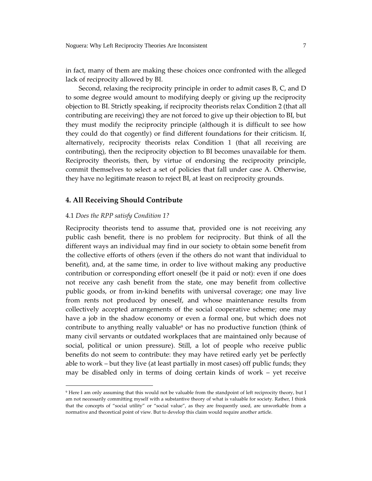in fact, many of them are making these choices once confronted with the alleged lack of reciprocity allowed by BI.

Second, relaxing the reciprocity principle in order to admit cases B, C, and D to some degree would amount to modifying deeply or giving up the reciprocity objection to BI. Strictly speaking, if reciprocity theorists relax Condition 2 (that all contributing are receiving) they are not forced to give up their objection to BI, but they must modify the reciprocity principle (although it is difficult to see how they could do that cogently) or find different foundations for their criticism. If, alternatively, reciprocity theorists relax Condition 1 (that all receiving are contributing), then the reciprocity objection to BI becomes unavailable for them. Reciprocity theorists, then, by virtue of endorsing the reciprocity principle, commit themselves to select a set of policies that fall under case A. Otherwise, they have no legitimate reason to reject BI, at least on reciprocity grounds.

# 4. All Receiving Should Contribute

#### 4.1 Does the RPP satisfy Condition 1?

Reciprocity theorists tend to assume that, provided one is not receiving any public cash benefit, there is no problem for reciprocity. But think of all the different ways an individual may find in our society to obtain some benefit from the collective efforts of others (even if the others do not want that individual to benefit), and, at the same time, in order to live without making any productive contribution or corresponding effort oneself (be it paid or not): even if one does not receive any cash benefit from the state, one may benefit from collective public goods, or from in-kind benefits with universal coverage; one may live from rents not produced by oneself, and whose maintenance results from collectively accepted arrangements of the social cooperative scheme; one may have a job in the shadow economy or even a formal one, but which does not contribute to anything really valuable<sup>9</sup> or has no productive function (think of many civil servants or outdated workplaces that are maintained only because of social, political or union pressure). Still, a lot of people who receive public benefits do not seem to contribute: they may have retired early yet be perfectly able to work – but they live (at least partially in most cases) off public funds; they may be disabled only in terms of doing certain kinds of work - yet receive

<sup>&</sup>lt;sup>9</sup> Here I am only assuming that this would not be valuable from the standpoint of left reciprocity theory, but I am not necessarily committing myself with a substantive theory of what is valuable for society. Rather, I think that the concepts of "social utility" or "social value", as they are frequently used, are unworkable from a normative and theoretical point of view. But to develop this claim would require another article.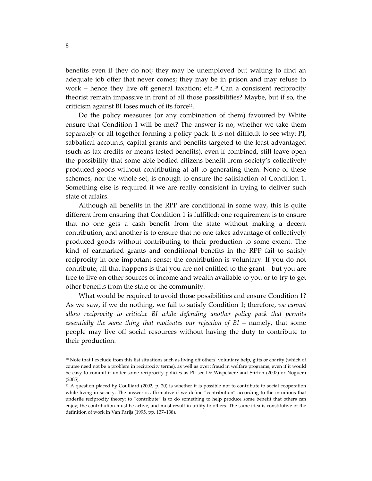benefits even if they do not; they may be unemployed but waiting to find an adequate job offer that never comes; they may be in prison and may refuse to work – hence they live off general taxation; etc.<sup>10</sup> Can a consistent reciprocity theorist remain impassive in front of all those possibilities? Maybe, but if so, the criticism against BI loses much of its force<sup>11</sup>.

Do the policy measures (or any combination of them) favoured by White ensure that Condition 1 will be met? The answer is no, whether we take them separately or all together forming a policy pack. It is not difficult to see why: PI, sabbatical accounts, capital grants and benefits targeted to the least advantaged (such as tax credits or means-tested benefits), even if combined, still leave open the possibility that some able-bodied citizens benefit from society's collectively produced goods without contributing at all to generating them. None of these schemes, nor the whole set, is enough to ensure the satisfaction of Condition 1. Something else is required if we are really consistent in trying to deliver such state of affairs.

Although all benefits in the RPP are conditional in some way, this is quite different from ensuring that Condition 1 is fulfilled: one requirement is to ensure that no one gets a cash benefit from the state without making a decent contribution, and another is to ensure that no one takes advantage of collectively produced goods without contributing to their production to some extent. The kind of earmarked grants and conditional benefits in the RPP fail to satisfy reciprocity in one important sense: the contribution is voluntary. If you do not contribute, all that happens is that you are not entitled to the grant – but you are free to live on other sources of income and wealth available to you or to try to get other benefits from the state or the community.

What would be required to avoid those possibilities and ensure Condition 1? As we saw, if we do nothing, we fail to satisfy Condition 1; therefore, we cannot allow reciprocity to criticize BI while defending another policy pack that permits essentially the same thing that motivates our rejection of BI – namely, that some people may live off social resources without having the duty to contribute to their production.

<sup>&</sup>lt;sup>10</sup> Note that I exclude from this list situations such as living off others' voluntary help, gifts or charity (which of course need not be a problem in reciprocity terms), as well as overt fraud in welfare programs, even if it would be easy to commit it under some reciprocity policies as PI: see De Wispelaere and Stirton (2007) or Noguera  $(2005).$ 

 $11$  A question placed by Coulliard (2002, p. 20) is whether it is possible not to contribute to social cooperation while living in society. The answer is affirmative if we define "contribution" according to the intuitions that underlie reciprocity theory: to "contribute" is to do something to help produce some benefit that others can enjoy; the contribution must be active, and must result in utility to others. The same idea is constitutive of the definition of work in Van Parijs (1995, pp. 137-138).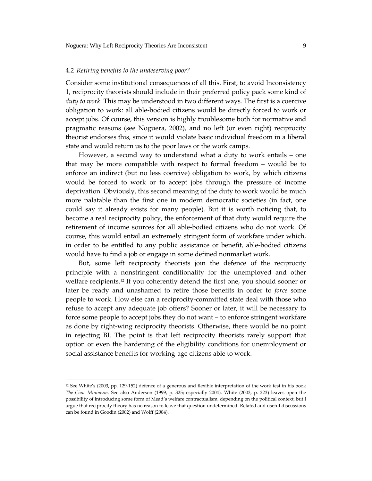#### 4.2 Retiring benefits to the undeserving poor?

Consider some institutional consequences of all this. First, to avoid Inconsistency 1, reciprocity theorists should include in their preferred policy pack some kind of duty to work. This may be understood in two different ways. The first is a coercive obligation to work: all able-bodied citizens would be directly forced to work or accept jobs. Of course, this version is highly troublesome both for normative and pragmatic reasons (see Noguera, 2002), and no left (or even right) reciprocity theorist endorses this, since it would violate basic individual freedom in a liberal state and would return us to the poor laws or the work camps.

However, a second way to understand what a duty to work entails - one that may be more compatible with respect to formal freedom - would be to enforce an indirect (but no less coercive) obligation to work, by which citizens would be forced to work or to accept jobs through the pressure of income deprivation. Obviously, this second meaning of the duty to work would be much more palatable than the first one in modern democratic societies (in fact, one could say it already exists for many people). But it is worth noticing that, to become a real reciprocity policy, the enforcement of that duty would require the retirement of income sources for all able-bodied citizens who do not work. Of course, this would entail an extremely stringent form of workfare under which, in order to be entitled to any public assistance or benefit, able-bodied citizens would have to find a job or engage in some defined nonmarket work.

But, some left reciprocity theorists join the defence of the reciprocity principle with a nonstringent conditionality for the unemployed and other welfare recipients.<sup>12</sup> If you coherently defend the first one, you should sooner or later be ready and unashamed to retire those benefits in order to force some people to work. How else can a reciprocity-committed state deal with those who refuse to accept any adequate job offers? Sooner or later, it will be necessary to force some people to accept jobs they do not want - to enforce stringent workfare as done by right-wing reciprocity theorists. Otherwise, there would be no point in rejecting BI. The point is that left reciprocity theorists rarely support that option or even the hardening of the eligibility conditions for unemployment or social assistance benefits for working-age citizens able to work.

<sup>&</sup>lt;sup>12</sup> See White's (2003, pp. 129-152) defence of a generous and flexible interpretation of the work test in his book The Civic Minimum. See also Anderson (1999, p. 325; especially 2004). White (2003, p. 223) leaves open the possibility of introducing some form of Mead's welfare contractualism, depending on the political context, but I argue that reciprocity theory has no reason to leave that question undetermined. Related and useful discussions can be found in Goodin (2002) and Wolff (2004).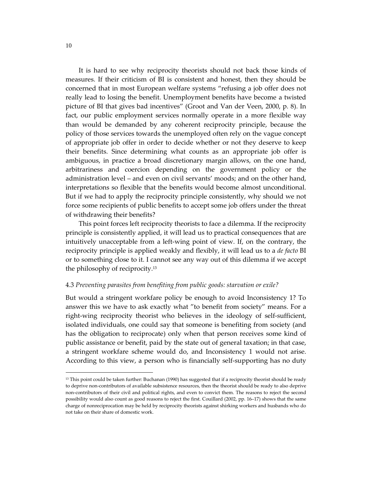It is hard to see why reciprocity theorists should not back those kinds of measures. If their criticism of BI is consistent and honest, then they should be concerned that in most European welfare systems "refusing a job offer does not really lead to losing the benefit. Unemployment benefits have become a twisted picture of BI that gives bad incentives" (Groot and Van der Veen, 2000, p. 8). In fact, our public employment services normally operate in a more flexible way than would be demanded by any coherent reciprocity principle, because the policy of those services towards the unemployed often rely on the vague concept of appropriate job offer in order to decide whether or not they deserve to keep their benefits. Since determining what counts as an appropriate job offer is ambiguous, in practice a broad discretionary margin allows, on the one hand, arbitrariness and coercion depending on the government policy or the administration level – and even on civil servants' moods; and on the other hand, interpretations so flexible that the benefits would become almost unconditional. But if we had to apply the reciprocity principle consistently, why should we not force some recipients of public benefits to accept some job offers under the threat of withdrawing their benefits?

This point forces left reciprocity theorists to face a dilemma. If the reciprocity principle is consistently applied, it will lead us to practical consequences that are intuitively unacceptable from a left-wing point of view. If, on the contrary, the reciprocity principle is applied weakly and flexibly, it will lead us to a de facto BI or to something close to it. I cannot see any way out of this dilemma if we accept the philosophy of reciprocity.<sup>13</sup>

# 4.3 Preventing parasites from benefiting from public goods: starvation or exile?

But would a stringent workfare policy be enough to avoid Inconsistency 1? To answer this we have to ask exactly what "to benefit from society" means. For a right-wing reciprocity theorist who believes in the ideology of self-sufficient, isolated individuals, one could say that someone is benefiting from society (and has the obligation to reciprocate) only when that person receives some kind of public assistance or benefit, paid by the state out of general taxation; in that case, a stringent workfare scheme would do, and Inconsistency 1 would not arise. According to this view, a person who is financially self-supporting has no duty

<sup>&</sup>lt;sup>13</sup> This point could be taken further: Buchanan (1990) has suggested that if a reciprocity theorist should be ready to deprive non-contributors of available subsistence resources, then the theorist should be ready to also deprive non-contributors of their civil and political rights, and even to convict them. The reasons to reject the second possibility would also count as good reasons to reject the first. Couillard (2002, pp. 16–17) shows that the same charge of nonreciprocation may be held by reciprocity theorists against shirking workers and husbands who do not take on their share of domestic work.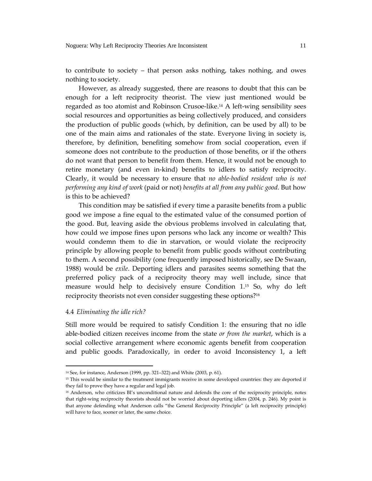to contribute to society – that person asks nothing, takes nothing, and owes nothing to society.

However, as already suggested, there are reasons to doubt that this can be enough for a left reciprocity theorist. The view just mentioned would be regarded as too atomist and Robinson Crusoe-like.<sup>14</sup> A left-wing sensibility sees social resources and opportunities as being collectively produced, and considers the production of public goods (which, by definition, can be used by all) to be one of the main aims and rationales of the state. Everyone living in society is, therefore, by definition, benefiting somehow from social cooperation, even if someone does not contribute to the production of those benefits, or if the others do not want that person to benefit from them. Hence, it would not be enough to retire monetary (and even in-kind) benefits to idlers to satisfy reciprocity. Clearly, it would be necessary to ensure that no able-bodied resident who is not performing any kind of work (paid or not) benefits at all from any public good. But how is this to be achieved?

This condition may be satisfied if every time a parasite benefits from a public good we impose a fine equal to the estimated value of the consumed portion of the good. But, leaving aside the obvious problems involved in calculating that, how could we impose fines upon persons who lack any income or wealth? This would condemn them to die in starvation, or would violate the reciprocity principle by allowing people to benefit from public goods without contributing to them. A second possibility (one frequently imposed historically, see De Swaan, 1988) would be exile. Deporting idlers and parasites seems something that the preferred policy pack of a reciprocity theory may well include, since that measure would help to decisively ensure Condition 1.<sup>15</sup> So, why do left reciprocity theorists not even consider suggesting these options?<sup>16</sup>

#### 4.4 Eliminating the idle rich?

Still more would be required to satisfy Condition 1: the ensuring that no idle able-bodied citizen receives income from the state or from the market, which is a social collective arrangement where economic agents benefit from cooperation and public goods. Paradoxically, in order to avoid Inconsistency 1, a left

<sup>&</sup>lt;sup>14</sup> See, for instance, Anderson (1999, pp. 321-322) and White (2003, p. 61).

<sup>&</sup>lt;sup>15</sup> This would be similar to the treatment immigrants receive in some developed countries: they are deported if they fail to prove they have a regular and legal job.

<sup>&</sup>lt;sup>16</sup> Anderson, who criticizes BI's unconditional nature and defends the core of the reciprocity principle, notes that right-wing reciprocity theorists should not be worried about deporting idlers (2004, p. 246). My point is that anyone defending what Anderson calls "the General Reciprocity Principle" (a left reciprocity principle) will have to face, sooner or later, the same choice.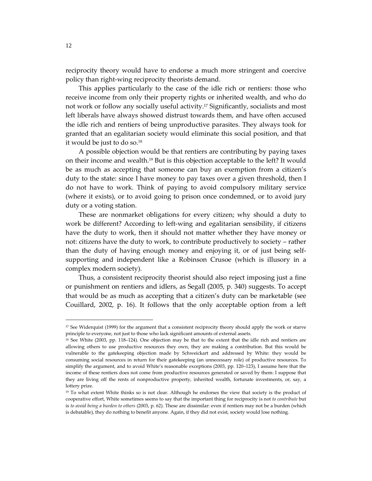reciprocity theory would have to endorse a much more stringent and coercive policy than right-wing reciprocity theorists demand.

This applies particularly to the case of the idle rich or rentiers: those who receive income from only their property rights or inherited wealth, and who do not work or follow any socially useful activity.<sup>17</sup> Significantly, socialists and most left liberals have always showed distrust towards them, and have often accused the idle rich and rentiers of being unproductive parasites. They always took for granted that an egalitarian society would eliminate this social position, and that it would be just to do so.<sup>18</sup>

A possible objection would be that rentiers are contributing by paying taxes on their income and wealth.<sup>19</sup> But is this objection acceptable to the left? It would be as much as accepting that someone can buy an exemption from a citizen's duty to the state: since I have money to pay taxes over a given threshold, then I do not have to work. Think of paying to avoid compulsory military service (where it exists), or to avoid going to prison once condemned, or to avoid jury duty or a voting station.

These are nonmarket obligations for every citizen; why should a duty to work be different? According to left-wing and egalitarian sensibility, if citizens have the duty to work, then it should not matter whether they have money or not: citizens have the duty to work, to contribute productively to society – rather than the duty of having enough money and enjoying it, or of just being selfsupporting and independent like a Robinson Crusoe (which is illusory in a complex modern society).

Thus, a consistent reciprocity theorist should also reject imposing just a fine or punishment on rentiers and idlers, as Segall (2005, p. 340) suggests. To accept that would be as much as accepting that a citizen's duty can be marketable (see Couillard, 2002, p. 16). It follows that the only acceptable option from a left

<sup>&</sup>lt;sup>17</sup> See Widerquist (1999) for the argument that a consistent reciprocity theory should apply the work or starve principle to everyone, not just to those who lack significant amounts of external assets.

<sup>&</sup>lt;sup>18</sup> See White (2003, pp. 118-124). One objection may be that to the extent that the idle rich and rentiers are allowing others to use productive resources they own, they are making a contribution. But this would be vulnerable to the gatekeeping objection made by Schweickart and addressed by White: they would be consuming social resources in return for their gatekeeping (an unnecessary role) of productive resources. To simplify the argument, and to avoid White's reasonable exceptions (2003, pp. 120-123), I assume here that the income of these rentiers does not come from productive resources generated or saved by them: I suppose that they are living off the rents of nonproductive property, inherited wealth, fortunate investments, or, say, a lottery prize.

<sup>&</sup>lt;sup>19</sup> To what extent White thinks so is not clear. Although he endorses the view that society is the product of cooperative effort, White sometimes seems to say that the important thing for reciprocity is not to contribute but is to avoid being a burden to others (2003, p. 62). These are dissimilar: even if rentiers may not be a burden (which is debatable), they do nothing to benefit anyone. Again, if they did not exist, society would lose nothing.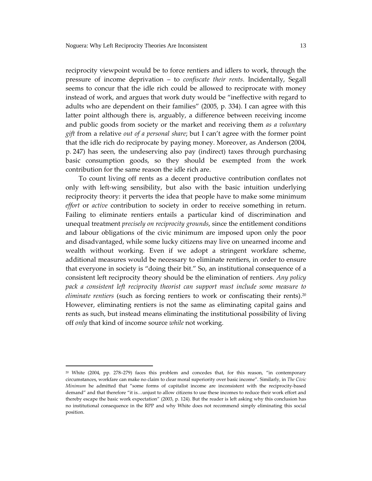reciprocity viewpoint would be to force rentiers and idlers to work, through the pressure of income deprivation - to confiscate their rents. Incidentally, Segall seems to concur that the idle rich could be allowed to reciprocate with money instead of work, and argues that work duty would be "ineffective with regard to adults who are dependent on their families" (2005, p. 334). I can agree with this latter point although there is, arguably, a difference between receiving income and public goods from society or the market and receiving them as a voluntary gift from a relative out of a personal share; but I can't agree with the former point that the idle rich do reciprocate by paying money. Moreover, as Anderson (2004, p. 247) has seen, the undeserving also pay (indirect) taxes through purchasing basic consumption goods, so they should be exempted from the work contribution for the same reason the idle rich are.

To count living off rents as a decent productive contribution conflates not only with left-wing sensibility, but also with the basic intuition underlying reciprocity theory: it perverts the idea that people have to make some minimum effort or active contribution to society in order to receive something in return. Failing to eliminate rentiers entails a particular kind of discrimination and unequal treatment precisely on reciprocity grounds, since the entitlement conditions and labour obligations of the civic minimum are imposed upon only the poor and disadvantaged, while some lucky citizens may live on unearned income and wealth without working. Even if we adopt a stringent workfare scheme, additional measures would be necessary to eliminate rentiers, in order to ensure that everyone in society is "doing their bit." So, an institutional consequence of a consistent left reciprocity theory should be the elimination of rentiers. Any policy pack a consistent left reciprocity theorist can support must include some measure to eliminate rentiers (such as forcing rentiers to work or confiscating their rents).<sup>20</sup> However, eliminating rentiers is not the same as eliminating capital gains and rents as such, but instead means eliminating the institutional possibility of living off only that kind of income source while not working.

<sup>&</sup>lt;sup>20</sup> White (2004, pp. 278-279) faces this problem and concedes that, for this reason, "in contemporary circumstances, workfare can make no claim to clear moral superiority over basic income". Similarly, in The Civic Minimum he admitted that "some forms of capitalist income are inconsistent with the reciprocity-based demand" and that therefore "it is...unjust to allow citizens to use these incomes to reduce their work effort and thereby escape the basic work expectation" (2003, p. 124). But the reader is left asking why this conclusion has no institutional consequence in the RPP and why White does not recommend simply eliminating this social position.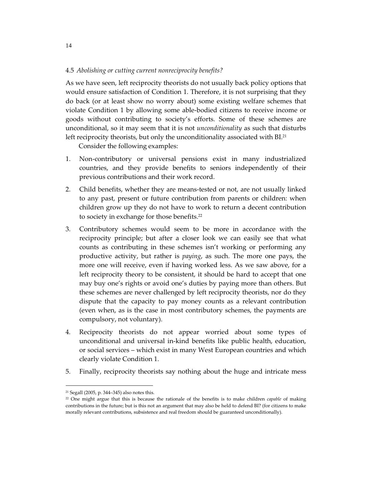# 4.5 Abolishing or cutting current nonreciprocity benefits?

As we have seen, left reciprocity theorists do not usually back policy options that would ensure satisfaction of Condition 1. Therefore, it is not surprising that they do back (or at least show no worry about) some existing welfare schemes that violate Condition 1 by allowing some able-bodied citizens to receive income or goods without contributing to society's efforts. Some of these schemes are unconditional, so it may seem that it is not *unconditionality* as such that disturbs left reciprocity theorists, but only the unconditionality associated with BI.<sup>21</sup>

Consider the following examples:

- 1. Non-contributory or universal pensions exist in many industrialized countries, and they provide benefits to seniors independently of their previous contributions and their work record.
- 2. Child benefits, whether they are means-tested or not, are not usually linked to any past, present or future contribution from parents or children: when children grow up they do not have to work to return a decent contribution to society in exchange for those benefits.<sup>22</sup>
- Contributory schemes would seem to be more in accordance with the 3. reciprocity principle; but after a closer look we can easily see that what counts as contributing in these schemes isn't working or performing any productive activity, but rather is *paying*, as such. The more one pays, the more one will receive, even if having worked less. As we saw above, for a left reciprocity theory to be consistent, it should be hard to accept that one may buy one's rights or avoid one's duties by paying more than others. But these schemes are never challenged by left reciprocity theorists, nor do they dispute that the capacity to pay money counts as a relevant contribution (even when, as is the case in most contributory schemes, the payments are compulsory, not voluntary).
- 4. Reciprocity theorists do not appear worried about some types of unconditional and universal in-kind benefits like public health, education, or social services - which exist in many West European countries and which clearly violate Condition 1.
- Finally, reciprocity theorists say nothing about the huge and intricate mess 5.

<sup>&</sup>lt;sup>21</sup> Segall (2005, p. 344–345) also notes this.

<sup>&</sup>lt;sup>22</sup> One might argue that this is because the rationale of the benefits is to make children *capable* of making contributions in the future; but is this not an argument that may also be held to defend BI? (for citizens to make morally relevant contributions, subsistence and real freedom should be guaranteed unconditionally).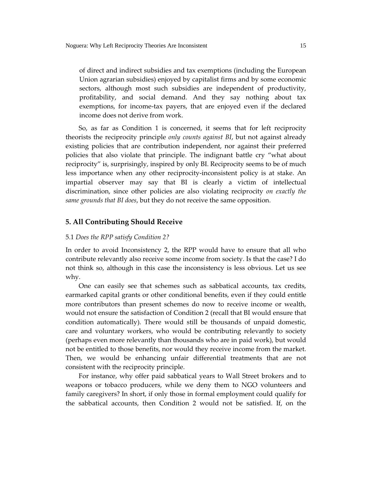of direct and indirect subsidies and tax exemptions (including the European Union agrarian subsidies) enjoyed by capitalist firms and by some economic sectors, although most such subsidies are independent of productivity, profitability, and social demand. And they say nothing about tax exemptions, for income-tax payers, that are enjoyed even if the declared income does not derive from work.

So, as far as Condition 1 is concerned, it seems that for left reciprocity theorists the reciprocity principle only counts against BI, but not against already existing policies that are contribution independent, nor against their preferred policies that also violate that principle. The indignant battle cry "what about reciprocity" is, surprisingly, inspired by only BI. Reciprocity seems to be of much less importance when any other reciprocity-inconsistent policy is at stake. An impartial observer may say that BI is clearly a victim of intellectual discrimination, since other policies are also violating reciprocity on exactly the same grounds that BI does, but they do not receive the same opposition.

# **5. All Contributing Should Receive**

#### 5.1 Does the RPP satisfy Condition 2?

In order to avoid Inconsistency 2, the RPP would have to ensure that all who contribute relevantly also receive some income from society. Is that the case? I do not think so, although in this case the inconsistency is less obvious. Let us see why.

One can easily see that schemes such as sabbatical accounts, tax credits, earmarked capital grants or other conditional benefits, even if they could entitle more contributors than present schemes do now to receive income or wealth, would not ensure the satisfaction of Condition 2 (recall that BI would ensure that condition automatically). There would still be thousands of unpaid domestic, care and voluntary workers, who would be contributing relevantly to society (perhaps even more relevantly than thousands who are in paid work), but would not be entitled to those benefits, nor would they receive income from the market. Then, we would be enhancing unfair differential treatments that are not consistent with the reciprocity principle.

For instance, why offer paid sabbatical years to Wall Street brokers and to weapons or tobacco producers, while we deny them to NGO volunteers and family caregivers? In short, if only those in formal employment could qualify for the sabbatical accounts, then Condition 2 would not be satisfied. If, on the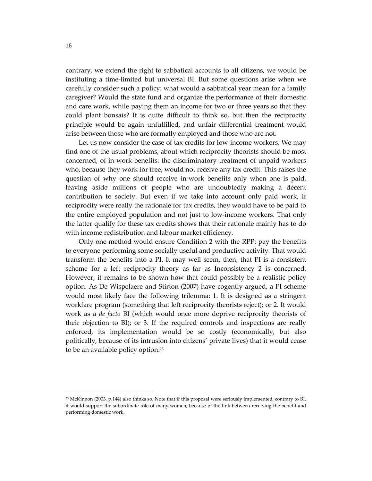contrary, we extend the right to sabbatical accounts to all citizens, we would be instituting a time-limited but universal BI. But some questions arise when we carefully consider such a policy: what would a sabbatical year mean for a family caregiver? Would the state fund and organize the performance of their domestic and care work, while paying them an income for two or three years so that they could plant bonsais? It is quite difficult to think so, but then the reciprocity principle would be again unfulfilled, and unfair differential treatment would arise between those who are formally employed and those who are not.

Let us now consider the case of tax credits for low-income workers. We may find one of the usual problems, about which reciprocity theorists should be most concerned, of in-work benefits: the discriminatory treatment of unpaid workers who, because they work for free, would not receive any tax credit. This raises the question of why one should receive in-work benefits only when one is paid, leaving aside millions of people who are undoubtedly making a decent contribution to society. But even if we take into account only paid work, if reciprocity were really the rationale for tax credits, they would have to be paid to the entire employed population and not just to low-income workers. That only the latter qualify for these tax credits shows that their rationale mainly has to do with income redistribution and labour market efficiency.

Only one method would ensure Condition 2 with the RPP: pay the benefits to everyone performing some socially useful and productive activity. That would transform the benefits into a PI. It may well seem, then, that PI is a consistent scheme for a left reciprocity theory as far as Inconsistency 2 is concerned. However, it remains to be shown how that could possibly be a realistic policy option. As De Wispelaere and Stirton (2007) have cogently argued, a PI scheme would most likely face the following trilemma: 1. It is designed as a stringent workfare program (something that left reciprocity theorists reject); or 2. It would work as a de facto BI (which would once more deprive reciprocity theorists of their objection to BI); or 3. If the required controls and inspections are really enforced, its implementation would be so costly (economically, but also politically, because of its intrusion into citizens' private lives) that it would cease to be an available policy option.<sup>23</sup>

<sup>&</sup>lt;sup>23</sup> McKinnon (2003, p.144) also thinks so. Note that if this proposal were seriously implemented, contrary to BI, it would support the subordinate role of many women, because of the link between receiving the benefit and performing domestic work.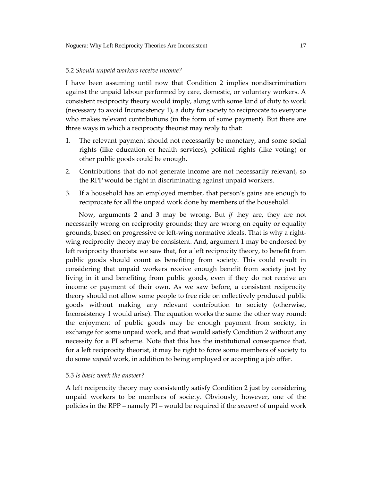#### 5.2 Should unpaid workers receive income?

I have been assuming until now that Condition 2 implies nondiscrimination against the unpaid labour performed by care, domestic, or voluntary workers. A consistent reciprocity theory would imply, along with some kind of duty to work (necessary to avoid Inconsistency 1), a duty for society to reciprocate to everyone who makes relevant contributions (in the form of some payment). But there are three ways in which a reciprocity theorist may reply to that:

- 1. The relevant payment should not necessarily be monetary, and some social rights (like education or health services), political rights (like voting) or other public goods could be enough.
- $2.$ Contributions that do not generate income are not necessarily relevant, so the RPP would be right in discriminating against unpaid workers.
- 3. If a household has an employed member, that person's gains are enough to reciprocate for all the unpaid work done by members of the household.

Now, arguments 2 and 3 may be wrong. But if they are, they are not necessarily wrong on reciprocity grounds; they are wrong on equity or equality grounds, based on progressive or left-wing normative ideals. That is why a rightwing reciprocity theory may be consistent. And, argument 1 may be endorsed by left reciprocity theorists: we saw that, for a left reciprocity theory, to benefit from public goods should count as benefiting from society. This could result in considering that unpaid workers receive enough benefit from society just by living in it and benefiting from public goods, even if they do not receive an income or payment of their own. As we saw before, a consistent reciprocity theory should not allow some people to free ride on collectively produced public goods without making any relevant contribution to society (otherwise, Inconsistency 1 would arise). The equation works the same the other way round: the enjoyment of public goods may be enough payment from society, in exchange for some unpaid work, and that would satisfy Condition 2 without any necessity for a PI scheme. Note that this has the institutional consequence that, for a left reciprocity theorist, it may be right to force some members of society to do some *unpaid* work, in addition to being employed or accepting a job offer.

#### 5.3 Is hasic work the answer?

A left reciprocity theory may consistently satisfy Condition 2 just by considering unpaid workers to be members of society. Obviously, however, one of the policies in the RPP – namely PI – would be required if the *amount* of unpaid work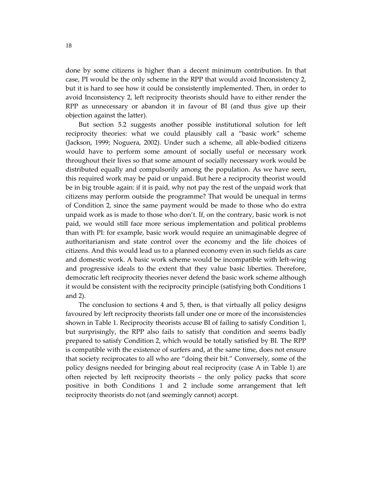done by some citizens is higher than a decent minimum contribution. In that case, PI would be the only scheme in the RPP that would avoid Inconsistency 2, but it is hard to see how it could be consistently implemented. Then, in order to avoid Inconsistency 2, left reciprocity theorists should have to either render the RPP as unnecessary or abandon it in favour of BI (and thus give up their objection against the latter).

But section 5.2 suggests another possible institutional solution for left reciprocity theories: what we could plausibly call a "basic work" scheme (Jackson, 1999; Noguera, 2002). Under such a scheme, all able-bodied citizens would have to perform some amount of socially useful or necessary work throughout their lives so that some amount of socially necessary work would be distributed equally and compulsorily among the population. As we have seen, this required work may be paid or unpaid. But here a reciprocity theorist would be in big trouble again: if it is paid, why not pay the rest of the unpaid work that citizens may perform outside the programme? That would be unequal in terms of Condition 2, since the same payment would be made to those who do extra unpaid work as is made to those who don't. If, on the contrary, basic work is not paid, we would still face more serious implementation and political problems than with PI: for example, basic work would require an unimaginable degree of authoritarianism and state control over the economy and the life choices of citizens. And this would lead us to a planned economy even in such fields as care and domestic work. A basic work scheme would be incompatible with left-wing and progressive ideals to the extent that they value basic liberties. Therefore, democratic left reciprocity theories never defend the basic work scheme although it would be consistent with the reciprocity principle (satisfying both Conditions 1 and  $2$ ).

The conclusion to sections 4 and 5, then, is that virtually all policy designs favoured by left reciprocity theorists fall under one or more of the inconsistencies shown in Table 1. Reciprocity theorists accuse BI of failing to satisfy Condition 1, but surprisingly, the RPP also fails to satisfy that condition and seems badly prepared to satisfy Condition 2, which would be totally satisfied by BI. The RPP is compatible with the existence of surfers and, at the same time, does not ensure that society reciprocates to all who are "doing their bit." Conversely, some of the policy designs needed for bringing about real reciprocity (case A in Table 1) are often rejected by left reciprocity theorists - the only policy packs that score positive in both Conditions 1 and 2 include some arrangement that left reciprocity theorists do not (and seemingly cannot) accept.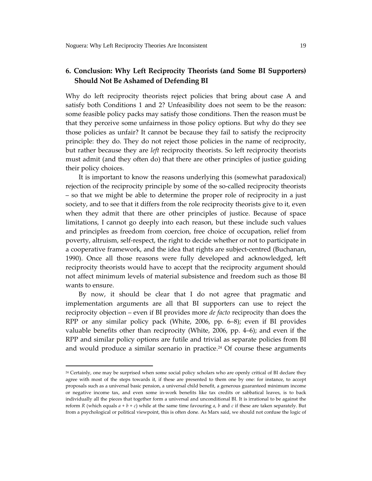# 6. Conclusion: Why Left Reciprocity Theorists (and Some BI Supporters) **Should Not Be Ashamed of Defending BI**

Why do left reciprocity theorists reject policies that bring about case A and satisfy both Conditions 1 and 2? Unfeasibility does not seem to be the reason: some feasible policy packs may satisfy those conditions. Then the reason must be that they perceive some unfairness in those policy options. But why do they see those policies as unfair? It cannot be because they fail to satisfy the reciprocity principle: they do. They do not reject those policies in the name of reciprocity, but rather because they are *left* reciprocity theorists. So left reciprocity theorists must admit (and they often do) that there are other principles of justice guiding their policy choices.

It is important to know the reasons underlying this (somewhat paradoxical) rejection of the reciprocity principle by some of the so-called reciprocity theorists - so that we might be able to determine the proper role of reciprocity in a just society, and to see that it differs from the role reciprocity theorists give to it, even when they admit that there are other principles of justice. Because of space limitations, I cannot go deeply into each reason, but these include such values and principles as freedom from coercion, free choice of occupation, relief from poverty, altruism, self-respect, the right to decide whether or not to participate in a cooperative framework, and the idea that rights are subject-centred (Buchanan, 1990). Once all those reasons were fully developed and acknowledged, left reciprocity theorists would have to accept that the reciprocity argument should not affect minimum levels of material subsistence and freedom such as those BI wants to ensure.

By now, it should be clear that I do not agree that pragmatic and implementation arguments are all that BI supporters can use to reject the reciprocity objection – even if BI provides more *de facto* reciprocity than does the RPP or any similar policy pack (White, 2006, pp. 6–8); even if BI provides valuable benefits other than reciprocity (White, 2006, pp. 4-6); and even if the RPP and similar policy options are futile and trivial as separate policies from BI and would produce a similar scenario in practice.<sup>24</sup> Of course these arguments

<sup>&</sup>lt;sup>24</sup> Certainly, one may be surprised when some social policy scholars who are openly critical of BI declare they agree with most of the steps towards it, if these are presented to them one by one: for instance, to accept proposals such as a universal basic pension, a universal child benefit, a generous guaranteed minimum income or negative income tax, and even some in-work benefits like tax credits or sabbatical leaves, is to back individually all the pieces that together form a universal and unconditional BI. It is irrational to be against the reform R (which equals  $a + b + c$ ) while at the same time favouring a, b and c if these are taken separately. But from a psychological or political viewpoint, this is often done. As Marx said, we should not confuse the logic of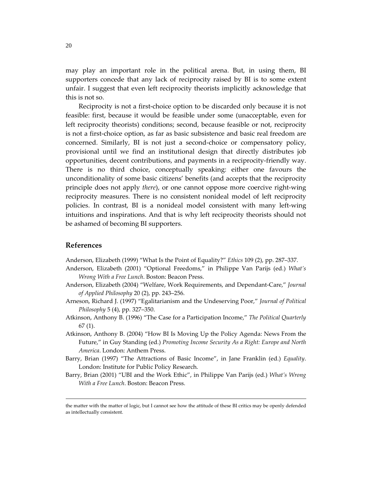may play an important role in the political arena. But, in using them, BI supporters concede that any lack of reciprocity raised by BI is to some extent unfair. I suggest that even left reciprocity theorists implicitly acknowledge that this is not so.

Reciprocity is not a first-choice option to be discarded only because it is not feasible: first, because it would be feasible under some (unacceptable, even for left reciprocity theorists) conditions; second, because feasible or not, reciprocity is not a first-choice option, as far as basic subsistence and basic real freedom are concerned. Similarly, BI is not just a second-choice or compensatory policy, provisional until we find an institutional design that directly distributes job opportunities, decent contributions, and payments in a reciprocity-friendly way. There is no third choice, conceptually speaking: either one favours the unconditionality of some basic citizens' benefits (and accepts that the reciprocity principle does not apply *there*), or one cannot oppose more coercive right-wing reciprocity measures. There is no consistent nonideal model of left reciprocity policies. In contrast, BI is a nonideal model consistent with many left-wing intuitions and inspirations. And that is why left reciprocity theorists should not be ashamed of becoming BI supporters.

## **References**

Anderson, Elizabeth (1999) "What Is the Point of Equality?" Ethics 109 (2), pp. 287-337.

- Anderson, Elizabeth (2001) "Optional Freedoms," in Philippe Van Parijs (ed.) What's Wrong With a Free Lunch. Boston: Beacon Press.
- Anderson, Elizabeth (2004) "Welfare, Work Requirements, and Dependant-Care," Journal of Applied Philosophy 20 (2), pp. 243-256.
- Arneson, Richard J. (1997) "Egalitarianism and the Undeserving Poor," Journal of Political Philosophy 5 (4), pp. 327-350.
- Atkinson, Anthony B. (1996) "The Case for a Participation Income," The Political Quarterly  $67(1)$ .
- Atkinson, Anthony B. (2004) "How BI Is Moving Up the Policy Agenda: News From the Future," in Guy Standing (ed.) Promoting Income Security As a Right: Europe and North America. London: Anthem Press.
- Barry, Brian (1997) "The Attractions of Basic Income", in Jane Franklin (ed.) Equality. London: Institute for Public Policy Research.
- Barry, Brian (2001) "UBI and the Work Ethic", in Philippe Van Parijs (ed.) What's Wrong With a Free Lunch. Boston: Beacon Press.

the matter with the matter of logic, but I cannot see how the attitude of these BI critics may be openly defended as intellectually consistent.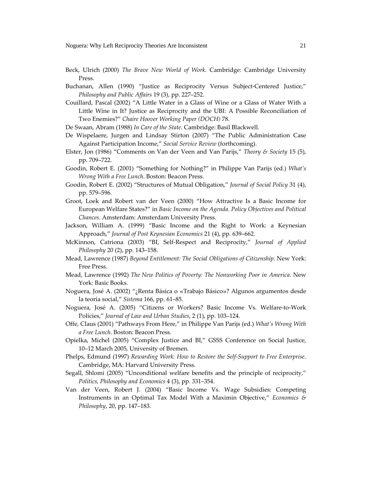- Beck, Ulrich (2000) The Brave New World of Work. Cambridge: Cambridge University Press.
- Buchanan, Allen (1990) "Justice as Reciprocity Versus Subject-Centered Justice," Philosophy and Public Affairs 19 (3), pp. 227-252.
- Couillard, Pascal (2002) "A Little Water in a Glass of Wine or a Glass of Water With a Little Wine in It? Justice as Reciprocity and the UBI: A Possible Reconciliation of Two Enemies?" Chaire Hoover Working Paper (DOCH) 78.

De Swaan, Abram (1988) In Care of the State. Cambridge: Basil Blackwell.

- De Wispelaere, Jurgen and Lindsay Stirton (2007) "The Public Administration Case Against Participation Income," Social Service Review (forthcoming).
- Elster, Jon (1986) "Comments on Van der Veen and Van Parijs," Theory & Society 15 (5), pp. 709-722.
- Goodin, Robert E. (2001) "Something for Nothing?" in Philippe Van Parijs (ed.) What's Wrong With a Free Lunch. Boston: Beacon Press.
- Goodin, Robert E. (2002) "Structures of Mutual Obligation," Journal of Social Policy 31 (4), pp. 579-596.
- Groot, Loek and Robert van der Veen (2000) "How Attractive Is a Basic Income for European Welfare States?" in Basic Income on the Agenda. Policy Objectives and Political Chances. Amsterdam: Amsterdam University Press.
- Jackson, William A. (1999) "Basic Income and the Right to Work: a Keynesian Approach," Journal of Post Keynesian Economics 21 (4), pp. 639–662.
- McKinnon, Catriona (2003) "BI, Self-Respect and Reciprocity," Journal of Applied Philosophy 20 (2), pp. 143-158.
- Mead, Lawrence (1987) Beyond Entitlement: The Social Obligations of Citizenship. New York: Free Press.
- Mead, Lawrence (1992) The New Politics of Poverty: The Nonworking Poor in America. New York: Basic Books.
- Noguera, José A. (2002) "¿Renta Básica o «Trabajo Básico»? Algunos argumentos desde la teoría social," Sistema 166, pp. 61-85.
- Noguera, José A. (2005) "Citizens or Workers? Basic Income Vs. Welfare-to-Work Policies," Journal of Law and Urban Studies, 2 (1), pp. 103-124.
- Offe, Claus (2001) "Pathways From Here," in Philippe Van Parijs (ed.) What's Wrong With a Free Lunch. Boston: Beacon Press.
- Opielka, Michel (2005) "Complex Justice and BI," GSSS Conference on Social Justice, 10-12 March 2005, University of Bremen.
- Phelps, Edmund (1997) Rewarding Work: How to Restore the Self-Support to Free Enterprise. Cambridge, MA: Harvard University Press.
- Segall, Shlomi (2005) "Unconditional welfare benefits and the principle of reciprocity," Politics, Philosophy and Economics 4 (3), pp. 331-354.
- Van der Veen, Robert J. (2004) "Basic Income Vs. Wage Subsidies: Competing Instruments in an Optimal Tax Model With a Maximin Objective," Economics & Philosophy, 20, pp. 147-183.